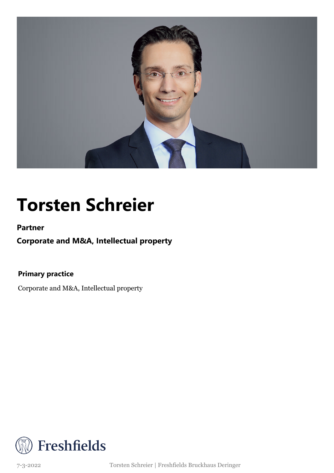

### **Torsten Schreier**

**Partner**

**Corporate and M&A, Intellectual property**

**Primary practice**

Corporate and M&A, Intellectual property



7-3-2022 Torsten Schreier | Freshfields Bruckhaus Deringer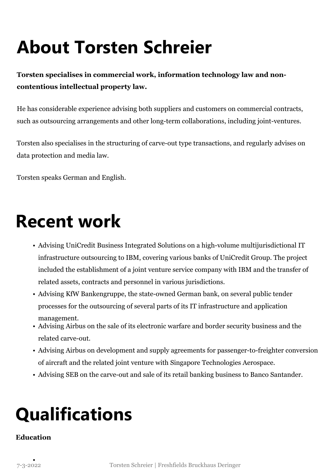# **About Torsten Schreier**

#### **Torsten specialises in commercial work, information technology law and noncontentious intellectual property law.**

He has considerable experience advising both suppliers and customers on commercial contracts, such as outsourcing arrangements and other long-term collaborations, including joint-ventures.

Torsten also specialises in the structuring of carve-out type transactions, and regularly advises on data protection and media law.

Torsten speaks German and English.

### **Recent work**

- Advising UniCredit Business Integrated Solutions on a high-volume multijurisdictional IT infrastructure outsourcing to IBM, covering various banks of UniCredit Group. The project included the establishment of a joint venture service company with IBM and the transfer of related assets, contracts and personnel in various jurisdictions.
- Advising KfW Bankengruppe, the state-owned German bank, on several public tender processes for the outsourcing of several parts of its IT infrastructure and application management.
- Advising Airbus on the sale of its electronic warfare and border security business and the related carve-out.
- Advising Airbus on development and supply agreements for passenger-to-freighter conversion of aircraft and the related joint venture with Singapore Technologies Aerospace.
- Advising SEB on the carve-out and sale of its retail banking business to Banco Santander.

## **Qualifications**

#### **Education**